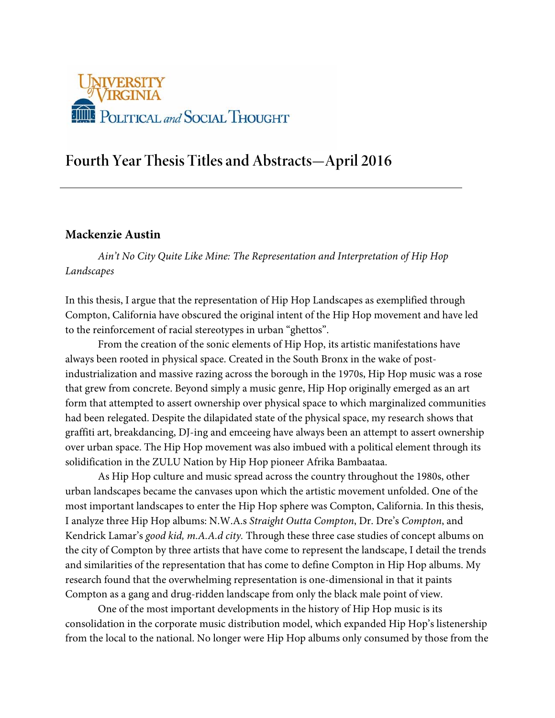

# **Fourth Year Thesis Titles and Abstracts—April 2016**

## **Mackenzie Austin**

*Ain't No City Quite Like Mine: The Representation and Interpretation of Hip Hop Landscapes*

In this thesis, I argue that the representation of Hip Hop Landscapes as exemplified through Compton, California have obscured the original intent of the Hip Hop movement and have led to the reinforcement of racial stereotypes in urban "ghettos".

 From the creation of the sonic elements of Hip Hop, its artistic manifestations have always been rooted in physical space. Created in the South Bronx in the wake of postindustrialization and massive razing across the borough in the 1970s, Hip Hop music was a rose that grew from concrete. Beyond simply a music genre, Hip Hop originally emerged as an art form that attempted to assert ownership over physical space to which marginalized communities had been relegated. Despite the dilapidated state of the physical space, my research shows that graffiti art, breakdancing, DJ-ing and emceeing have always been an attempt to assert ownership over urban space. The Hip Hop movement was also imbued with a political element through its solidification in the ZULU Nation by Hip Hop pioneer Afrika Bambaataa.

 As Hip Hop culture and music spread across the country throughout the 1980s, other urban landscapes became the canvases upon which the artistic movement unfolded. One of the most important landscapes to enter the Hip Hop sphere was Compton, California. In this thesis, I analyze three Hip Hop albums: N.W.A.s *Straight Outta Compton*, Dr. Dre's *Compton*, and Kendrick Lamar's *good kid, m.A.A.d city.* Through these three case studies of concept albums on the city of Compton by three artists that have come to represent the landscape, I detail the trends and similarities of the representation that has come to define Compton in Hip Hop albums. My research found that the overwhelming representation is one-dimensional in that it paints Compton as a gang and drug-ridden landscape from only the black male point of view.

 One of the most important developments in the history of Hip Hop music is its consolidation in the corporate music distribution model, which expanded Hip Hop's listenership from the local to the national. No longer were Hip Hop albums only consumed by those from the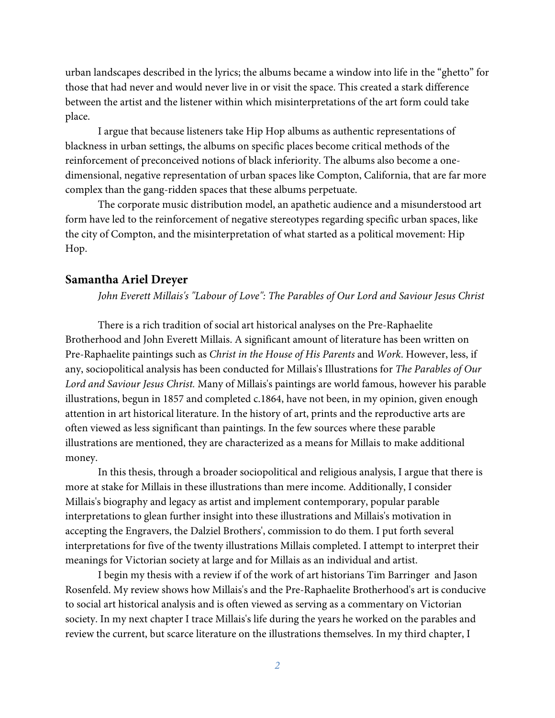urban landscapes described in the lyrics; the albums became a window into life in the "ghetto" for those that had never and would never live in or visit the space. This created a stark difference between the artist and the listener within which misinterpretations of the art form could take place.

I argue that because listeners take Hip Hop albums as authentic representations of blackness in urban settings, the albums on specific places become critical methods of the reinforcement of preconceived notions of black inferiority. The albums also become a onedimensional, negative representation of urban spaces like Compton, California, that are far more complex than the gang-ridden spaces that these albums perpetuate.

The corporate music distribution model, an apathetic audience and a misunderstood art form have led to the reinforcement of negative stereotypes regarding specific urban spaces, like the city of Compton, and the misinterpretation of what started as a political movement: Hip Hop.

#### **Samantha Ariel Dreyer**

*John Everett Millais's "Labour of Love": The Parables of Our Lord and Saviour Jesus Christ* 

There is a rich tradition of social art historical analyses on the Pre-Raphaelite Brotherhood and John Everett Millais. A significant amount of literature has been written on Pre-Raphaelite paintings such as *Christ in the House of His Parents* and *Work*. However, less, if any, sociopolitical analysis has been conducted for Millais's Illustrations for *The Parables of Our Lord and Saviour Jesus Christ.* Many of Millais's paintings are world famous, however his parable illustrations, begun in 1857 and completed c.1864, have not been, in my opinion, given enough attention in art historical literature. In the history of art, prints and the reproductive arts are often viewed as less significant than paintings. In the few sources where these parable illustrations are mentioned, they are characterized as a means for Millais to make additional money.

In this thesis, through a broader sociopolitical and religious analysis, I argue that there is more at stake for Millais in these illustrations than mere income. Additionally, I consider Millais's biography and legacy as artist and implement contemporary, popular parable interpretations to glean further insight into these illustrations and Millais's motivation in accepting the Engravers, the Dalziel Brothers', commission to do them. I put forth several interpretations for five of the twenty illustrations Millais completed. I attempt to interpret their meanings for Victorian society at large and for Millais as an individual and artist.

I begin my thesis with a review if of the work of art historians Tim Barringer and Jason Rosenfeld. My review shows how Millais's and the Pre-Raphaelite Brotherhood's art is conducive to social art historical analysis and is often viewed as serving as a commentary on Victorian society. In my next chapter I trace Millais's life during the years he worked on the parables and review the current, but scarce literature on the illustrations themselves. In my third chapter, I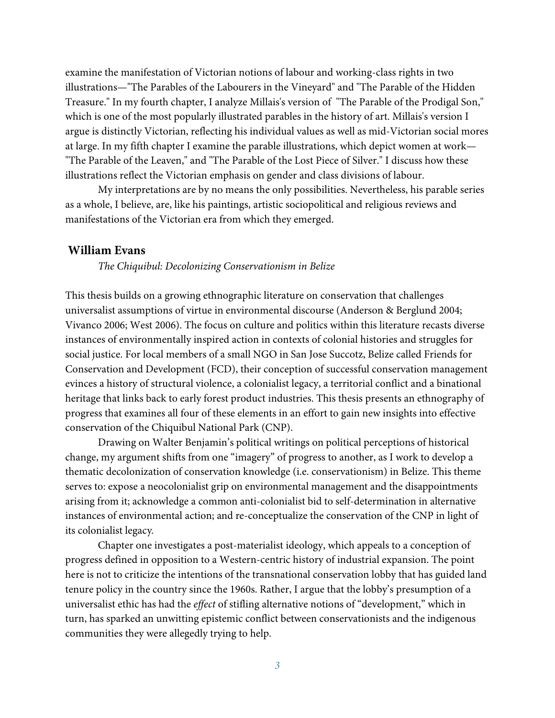examine the manifestation of Victorian notions of labour and working-class rights in two illustrations—"The Parables of the Labourers in the Vineyard" and "The Parable of the Hidden Treasure." In my fourth chapter, I analyze Millais's version of "The Parable of the Prodigal Son," which is one of the most popularly illustrated parables in the history of art. Millais's version I argue is distinctly Victorian, reflecting his individual values as well as mid-Victorian social mores at large. In my fifth chapter I examine the parable illustrations, which depict women at work— "The Parable of the Leaven," and "The Parable of the Lost Piece of Silver." I discuss how these illustrations reflect the Victorian emphasis on gender and class divisions of labour.

My interpretations are by no means the only possibilities. Nevertheless, his parable series as a whole, I believe, are, like his paintings, artistic sociopolitical and religious reviews and manifestations of the Victorian era from which they emerged.

#### **William Evans**

*The Chiquibul: Decolonizing Conservationism in Belize* 

This thesis builds on a growing ethnographic literature on conservation that challenges universalist assumptions of virtue in environmental discourse (Anderson & Berglund 2004; Vivanco 2006; West 2006). The focus on culture and politics within this literature recasts diverse instances of environmentally inspired action in contexts of colonial histories and struggles for social justice. For local members of a small NGO in San Jose Succotz, Belize called Friends for Conservation and Development (FCD), their conception of successful conservation management evinces a history of structural violence, a colonialist legacy, a territorial conflict and a binational heritage that links back to early forest product industries. This thesis presents an ethnography of progress that examines all four of these elements in an effort to gain new insights into effective conservation of the Chiquibul National Park (CNP).

Drawing on Walter Benjamin's political writings on political perceptions of historical change, my argument shifts from one "imagery" of progress to another, as I work to develop a thematic decolonization of conservation knowledge (i.e. conservationism) in Belize. This theme serves to: expose a neocolonialist grip on environmental management and the disappointments arising from it; acknowledge a common anti-colonialist bid to self-determination in alternative instances of environmental action; and re-conceptualize the conservation of the CNP in light of its colonialist legacy.

Chapter one investigates a post-materialist ideology, which appeals to a conception of progress defined in opposition to a Western-centric history of industrial expansion. The point here is not to criticize the intentions of the transnational conservation lobby that has guided land tenure policy in the country since the 1960s. Rather, I argue that the lobby's presumption of a universalist ethic has had the *effect* of stifling alternative notions of "development," which in turn, has sparked an unwitting epistemic conflict between conservationists and the indigenous communities they were allegedly trying to help.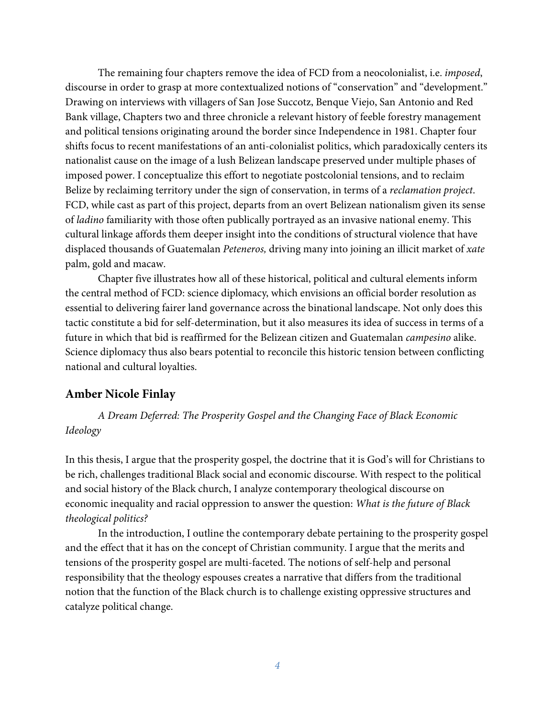The remaining four chapters remove the idea of FCD from a neocolonialist, i.e. *imposed*, discourse in order to grasp at more contextualized notions of "conservation" and "development." Drawing on interviews with villagers of San Jose Succotz, Benque Viejo, San Antonio and Red Bank village, Chapters two and three chronicle a relevant history of feeble forestry management and political tensions originating around the border since Independence in 1981. Chapter four shifts focus to recent manifestations of an anti-colonialist politics, which paradoxically centers its nationalist cause on the image of a lush Belizean landscape preserved under multiple phases of imposed power. I conceptualize this effort to negotiate postcolonial tensions, and to reclaim Belize by reclaiming territory under the sign of conservation, in terms of a *reclamation project*. FCD, while cast as part of this project, departs from an overt Belizean nationalism given its sense of *ladino* familiarity with those often publically portrayed as an invasive national enemy. This cultural linkage affords them deeper insight into the conditions of structural violence that have displaced thousands of Guatemalan *Peteneros,* driving many into joining an illicit market of *xate*  palm, gold and macaw.

Chapter five illustrates how all of these historical, political and cultural elements inform the central method of FCD: science diplomacy, which envisions an official border resolution as essential to delivering fairer land governance across the binational landscape. Not only does this tactic constitute a bid for self-determination, but it also measures its idea of success in terms of a future in which that bid is reaffirmed for the Belizean citizen and Guatemalan *campesino* alike. Science diplomacy thus also bears potential to reconcile this historic tension between conflicting national and cultural loyalties.

## **Amber Nicole Finlay**

*A Dream Deferred: The Prosperity Gospel and the Changing Face of Black Economic Ideology* 

In this thesis, I argue that the prosperity gospel, the doctrine that it is God's will for Christians to be rich, challenges traditional Black social and economic discourse. With respect to the political and social history of the Black church, I analyze contemporary theological discourse on economic inequality and racial oppression to answer the question: *What is the future of Black theological politics?*

In the introduction, I outline the contemporary debate pertaining to the prosperity gospel and the effect that it has on the concept of Christian community. I argue that the merits and tensions of the prosperity gospel are multi-faceted. The notions of self-help and personal responsibility that the theology espouses creates a narrative that differs from the traditional notion that the function of the Black church is to challenge existing oppressive structures and catalyze political change.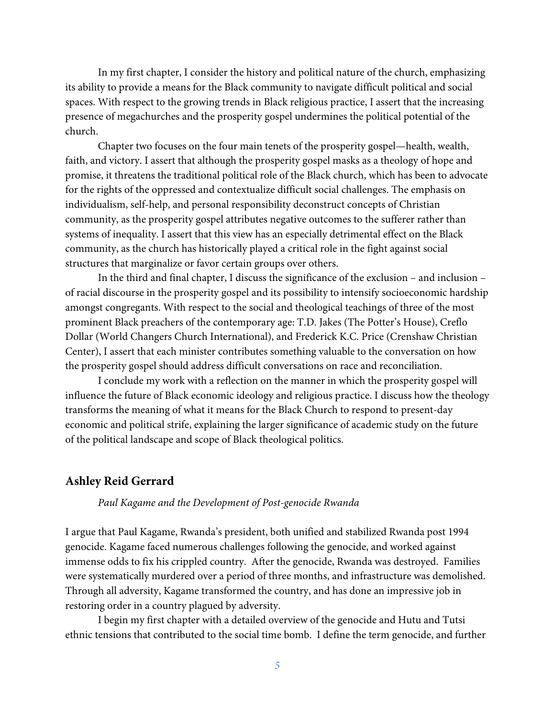In my first chapter, I consider the history and political nature of the church, emphasizing its ability to provide a means for the Black community to navigate difficult political and social spaces. With respect to the growing trends in Black religious practice, I assert that the increasing presence of megachurches and the prosperity gospel undermines the political potential of the church.

Chapter two focuses on the four main tenets of the prosperity gospel—health, wealth, faith, and victory. I assert that although the prosperity gospel masks as a theology of hope and promise, it threatens the traditional political role of the Black church, which has been to advocate for the rights of the oppressed and contextualize difficult social challenges. The emphasis on individualism, self-help, and personal responsibility deconstruct concepts of Christian community, as the prosperity gospel attributes negative outcomes to the sufferer rather than systems of inequality. I assert that this view has an especially detrimental effect on the Black community, as the church has historically played a critical role in the fight against social structures that marginalize or favor certain groups over others.

In the third and final chapter, I discuss the significance of the exclusion – and inclusion – of racial discourse in the prosperity gospel and its possibility to intensify socioeconomic hardship amongst congregants. With respect to the social and theological teachings of three of the most prominent Black preachers of the contemporary age: T.D. Jakes (The Potter's House), Creflo Dollar (World Changers Church International), and Frederick K.C. Price (Crenshaw Christian Center), I assert that each minister contributes something valuable to the conversation on how the prosperity gospel should address difficult conversations on race and reconciliation.

I conclude my work with a reflection on the manner in which the prosperity gospel will influence the future of Black economic ideology and religious practice. I discuss how the theology transforms the meaning of what it means for the Black Church to respond to present-day economic and political strife, explaining the larger significance of academic study on the future of the political landscape and scope of Black theological politics.

#### **Ashley Reid Gerrard**

#### *Paul Kagame and the Development of Post-genocide Rwanda*

I argue that Paul Kagame, Rwanda's president, both unified and stabilized Rwanda post 1994 genocide. Kagame faced numerous challenges following the genocide, and worked against immense odds to fix his crippled country. After the genocide, Rwanda was destroyed. Families were systematically murdered over a period of three months, and infrastructure was demolished. Through all adversity, Kagame transformed the country, and has done an impressive job in restoring order in a country plagued by adversity.

I begin my first chapter with a detailed overview of the genocide and Hutu and Tutsi ethnic tensions that contributed to the social time bomb. I define the term genocide, and further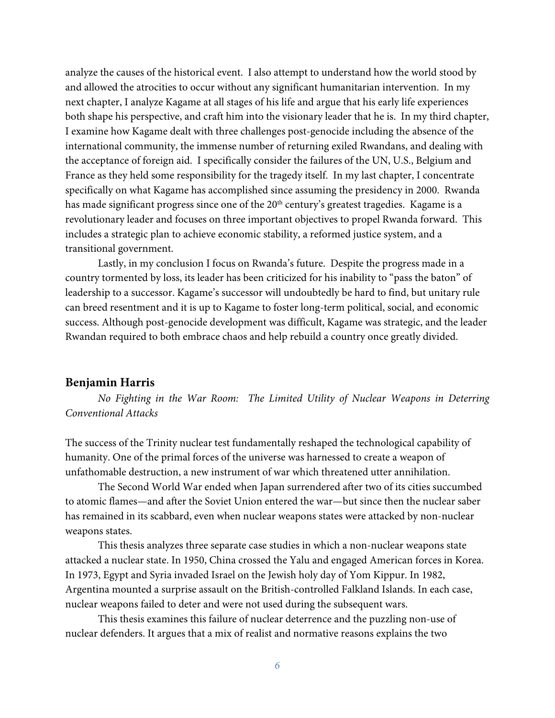analyze the causes of the historical event. I also attempt to understand how the world stood by and allowed the atrocities to occur without any significant humanitarian intervention. In my next chapter, I analyze Kagame at all stages of his life and argue that his early life experiences both shape his perspective, and craft him into the visionary leader that he is. In my third chapter, I examine how Kagame dealt with three challenges post-genocide including the absence of the international community, the immense number of returning exiled Rwandans, and dealing with the acceptance of foreign aid. I specifically consider the failures of the UN, U.S., Belgium and France as they held some responsibility for the tragedy itself. In my last chapter, I concentrate specifically on what Kagame has accomplished since assuming the presidency in 2000. Rwanda has made significant progress since one of the 20<sup>th</sup> century's greatest tragedies. Kagame is a revolutionary leader and focuses on three important objectives to propel Rwanda forward. This includes a strategic plan to achieve economic stability, a reformed justice system, and a transitional government.

Lastly, in my conclusion I focus on Rwanda's future. Despite the progress made in a country tormented by loss, its leader has been criticized for his inability to "pass the baton" of leadership to a successor. Kagame's successor will undoubtedly be hard to find, but unitary rule can breed resentment and it is up to Kagame to foster long-term political, social, and economic success. Although post-genocide development was difficult, Kagame was strategic, and the leader Rwandan required to both embrace chaos and help rebuild a country once greatly divided.

## **Benjamin Harris**

*No Fighting in the War Room: The Limited Utility of Nuclear Weapons in Deterring Conventional Attacks* 

The success of the Trinity nuclear test fundamentally reshaped the technological capability of humanity. One of the primal forces of the universe was harnessed to create a weapon of unfathomable destruction, a new instrument of war which threatened utter annihilation.

The Second World War ended when Japan surrendered after two of its cities succumbed to atomic flames—and after the Soviet Union entered the war—but since then the nuclear saber has remained in its scabbard, even when nuclear weapons states were attacked by non-nuclear weapons states.

This thesis analyzes three separate case studies in which a non-nuclear weapons state attacked a nuclear state. In 1950, China crossed the Yalu and engaged American forces in Korea. In 1973, Egypt and Syria invaded Israel on the Jewish holy day of Yom Kippur. In 1982, Argentina mounted a surprise assault on the British-controlled Falkland Islands. In each case, nuclear weapons failed to deter and were not used during the subsequent wars.

This thesis examines this failure of nuclear deterrence and the puzzling non-use of nuclear defenders. It argues that a mix of realist and normative reasons explains the two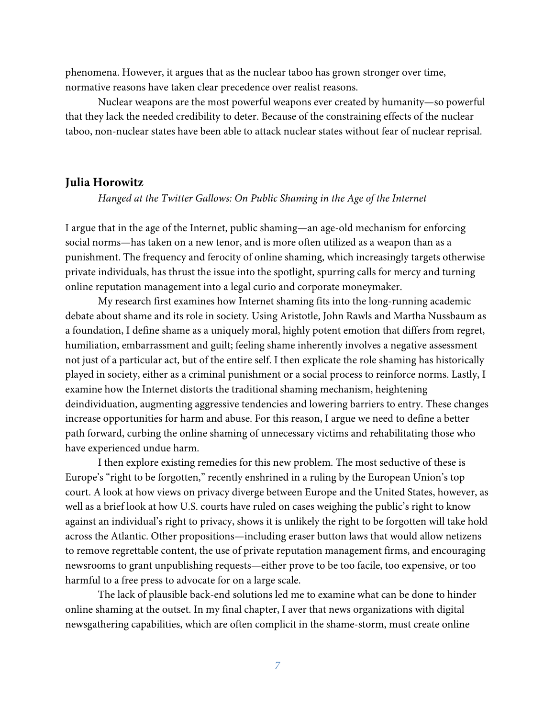phenomena. However, it argues that as the nuclear taboo has grown stronger over time, normative reasons have taken clear precedence over realist reasons.

Nuclear weapons are the most powerful weapons ever created by humanity—so powerful that they lack the needed credibility to deter. Because of the constraining effects of the nuclear taboo, non-nuclear states have been able to attack nuclear states without fear of nuclear reprisal.

#### **Julia Horowitz**

*Hanged at the Twitter Gallows: On Public Shaming in the Age of the Internet* 

I argue that in the age of the Internet, public shaming—an age-old mechanism for enforcing social norms—has taken on a new tenor, and is more often utilized as a weapon than as a punishment. The frequency and ferocity of online shaming, which increasingly targets otherwise private individuals, has thrust the issue into the spotlight, spurring calls for mercy and turning online reputation management into a legal curio and corporate moneymaker.

My research first examines how Internet shaming fits into the long-running academic debate about shame and its role in society. Using Aristotle, John Rawls and Martha Nussbaum as a foundation, I define shame as a uniquely moral, highly potent emotion that differs from regret, humiliation, embarrassment and guilt; feeling shame inherently involves a negative assessment not just of a particular act, but of the entire self. I then explicate the role shaming has historically played in society, either as a criminal punishment or a social process to reinforce norms. Lastly, I examine how the Internet distorts the traditional shaming mechanism, heightening deindividuation, augmenting aggressive tendencies and lowering barriers to entry. These changes increase opportunities for harm and abuse. For this reason, I argue we need to define a better path forward, curbing the online shaming of unnecessary victims and rehabilitating those who have experienced undue harm.

I then explore existing remedies for this new problem. The most seductive of these is Europe's "right to be forgotten," recently enshrined in a ruling by the European Union's top court. A look at how views on privacy diverge between Europe and the United States, however, as well as a brief look at how U.S. courts have ruled on cases weighing the public's right to know against an individual's right to privacy, shows it is unlikely the right to be forgotten will take hold across the Atlantic. Other propositions—including eraser button laws that would allow netizens to remove regrettable content, the use of private reputation management firms, and encouraging newsrooms to grant unpublishing requests—either prove to be too facile, too expensive, or too harmful to a free press to advocate for on a large scale.

The lack of plausible back-end solutions led me to examine what can be done to hinder online shaming at the outset. In my final chapter, I aver that news organizations with digital newsgathering capabilities, which are often complicit in the shame-storm, must create online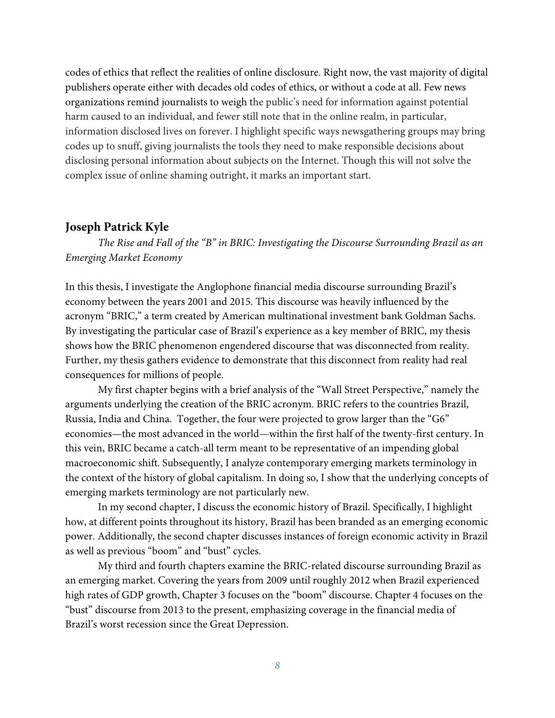codes of ethics that reflect the realities of online disclosure. Right now, the vast majority of digital publishers operate either with decades old codes of ethics, or without a code at all. Few news organizations remind journalists to weigh the public's need for information against potential harm caused to an individual, and fewer still note that in the online realm, in particular, information disclosed lives on forever. I highlight specific ways newsgathering groups may bring codes up to snuff, giving journalists the tools they need to make responsible decisions about disclosing personal information about subjects on the Internet. Though this will not solve the complex issue of online shaming outright, it marks an important start.

## **Joseph Patrick Kyle**

*The Rise and Fall of the "B" in BRIC: Investigating the Discourse Surrounding Brazil as an Emerging Market Economy* 

In this thesis, I investigate the Anglophone financial media discourse surrounding Brazil's economy between the years 2001 and 2015. This discourse was heavily influenced by the acronym "BRIC," a term created by American multinational investment bank Goldman Sachs. By investigating the particular case of Brazil's experience as a key member of BRIC, my thesis shows how the BRIC phenomenon engendered discourse that was disconnected from reality. Further, my thesis gathers evidence to demonstrate that this disconnect from reality had real consequences for millions of people.

My first chapter begins with a brief analysis of the "Wall Street Perspective," namely the arguments underlying the creation of the BRIC acronym. BRIC refers to the countries Brazil, Russia, India and China. Together, the four were projected to grow larger than the "G6" economies—the most advanced in the world—within the first half of the twenty-first century. In this vein, BRIC became a catch-all term meant to be representative of an impending global macroeconomic shift. Subsequently, I analyze contemporary emerging markets terminology in the context of the history of global capitalism. In doing so, I show that the underlying concepts of emerging markets terminology are not particularly new.

In my second chapter, I discuss the economic history of Brazil. Specifically, I highlight how, at different points throughout its history, Brazil has been branded as an emerging economic power. Additionally, the second chapter discusses instances of foreign economic activity in Brazil as well as previous "boom" and "bust" cycles.

My third and fourth chapters examine the BRIC-related discourse surrounding Brazil as an emerging market. Covering the years from 2009 until roughly 2012 when Brazil experienced high rates of GDP growth, Chapter 3 focuses on the "boom" discourse. Chapter 4 focuses on the "bust" discourse from 2013 to the present, emphasizing coverage in the financial media of Brazil's worst recession since the Great Depression.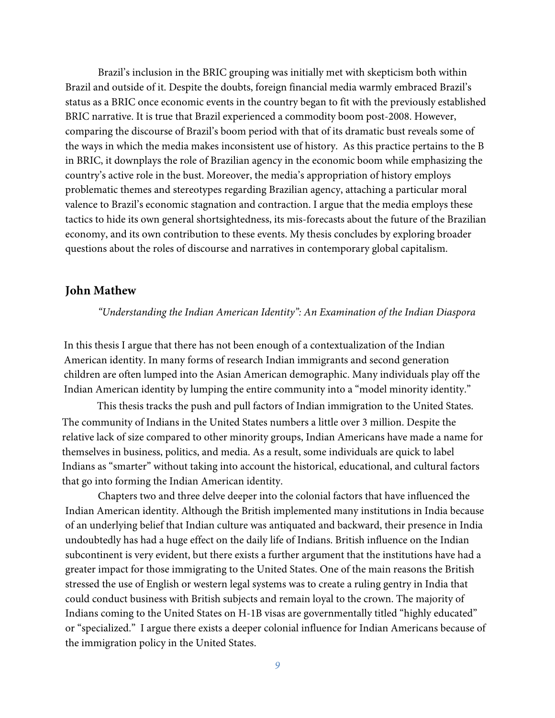Brazil's inclusion in the BRIC grouping was initially met with skepticism both within Brazil and outside of it. Despite the doubts, foreign financial media warmly embraced Brazil's status as a BRIC once economic events in the country began to fit with the previously established BRIC narrative. It is true that Brazil experienced a commodity boom post-2008. However, comparing the discourse of Brazil's boom period with that of its dramatic bust reveals some of the ways in which the media makes inconsistent use of history. As this practice pertains to the B in BRIC, it downplays the role of Brazilian agency in the economic boom while emphasizing the country's active role in the bust. Moreover, the media's appropriation of history employs problematic themes and stereotypes regarding Brazilian agency, attaching a particular moral valence to Brazil's economic stagnation and contraction. I argue that the media employs these tactics to hide its own general shortsightedness, its mis-forecasts about the future of the Brazilian economy, and its own contribution to these events. My thesis concludes by exploring broader questions about the roles of discourse and narratives in contemporary global capitalism.

## **John Mathew**

*"Understanding the Indian American Identity": An Examination of the Indian Diaspora* 

In this thesis I argue that there has not been enough of a contextualization of the Indian American identity. In many forms of research Indian immigrants and second generation children are often lumped into the Asian American demographic. Many individuals play off the Indian American identity by lumping the entire community into a "model minority identity."

This thesis tracks the push and pull factors of Indian immigration to the United States. The community of Indians in the United States numbers a little over 3 million. Despite the relative lack of size compared to other minority groups, Indian Americans have made a name for themselves in business, politics, and media. As a result, some individuals are quick to label Indians as "smarter" without taking into account the historical, educational, and cultural factors that go into forming the Indian American identity.

Chapters two and three delve deeper into the colonial factors that have influenced the Indian American identity. Although the British implemented many institutions in India because of an underlying belief that Indian culture was antiquated and backward, their presence in India undoubtedly has had a huge effect on the daily life of Indians. British influence on the Indian subcontinent is very evident, but there exists a further argument that the institutions have had a greater impact for those immigrating to the United States. One of the main reasons the British stressed the use of English or western legal systems was to create a ruling gentry in India that could conduct business with British subjects and remain loyal to the crown. The majority of Indians coming to the United States on H-1B visas are governmentally titled "highly educated" or "specialized." I argue there exists a deeper colonial influence for Indian Americans because of the immigration policy in the United States.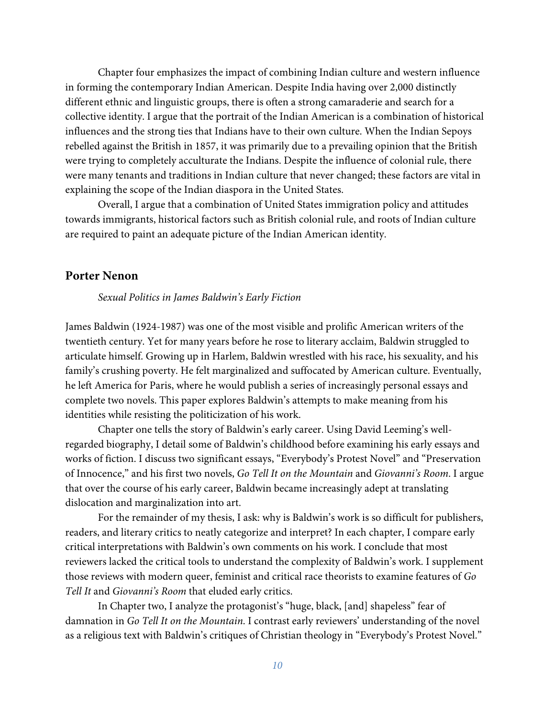Chapter four emphasizes the impact of combining Indian culture and western influence in forming the contemporary Indian American. Despite India having over 2,000 distinctly different ethnic and linguistic groups, there is often a strong camaraderie and search for a collective identity. I argue that the portrait of the Indian American is a combination of historical influences and the strong ties that Indians have to their own culture. When the Indian Sepoys rebelled against the British in 1857, it was primarily due to a prevailing opinion that the British were trying to completely acculturate the Indians. Despite the influence of colonial rule, there were many tenants and traditions in Indian culture that never changed; these factors are vital in explaining the scope of the Indian diaspora in the United States.

Overall, I argue that a combination of United States immigration policy and attitudes towards immigrants, historical factors such as British colonial rule, and roots of Indian culture are required to paint an adequate picture of the Indian American identity.

## **Porter Nenon**

*Sexual Politics in James Baldwin's Early Fiction*

James Baldwin (1924-1987) was one of the most visible and prolific American writers of the twentieth century. Yet for many years before he rose to literary acclaim, Baldwin struggled to articulate himself. Growing up in Harlem, Baldwin wrestled with his race, his sexuality, and his family's crushing poverty. He felt marginalized and suffocated by American culture. Eventually, he left America for Paris, where he would publish a series of increasingly personal essays and complete two novels. This paper explores Baldwin's attempts to make meaning from his identities while resisting the politicization of his work.

Chapter one tells the story of Baldwin's early career. Using David Leeming's wellregarded biography, I detail some of Baldwin's childhood before examining his early essays and works of fiction. I discuss two significant essays, "Everybody's Protest Novel" and "Preservation of Innocence," and his first two novels, *Go Tell It on the Mountain* and *Giovanni's Room*. I argue that over the course of his early career, Baldwin became increasingly adept at translating dislocation and marginalization into art.

For the remainder of my thesis, I ask: why is Baldwin's work is so difficult for publishers, readers, and literary critics to neatly categorize and interpret? In each chapter, I compare early critical interpretations with Baldwin's own comments on his work. I conclude that most reviewers lacked the critical tools to understand the complexity of Baldwin's work. I supplement those reviews with modern queer, feminist and critical race theorists to examine features of *Go Tell It* and *Giovanni's Room* that eluded early critics.

In Chapter two, I analyze the protagonist's "huge, black, [and] shapeless" fear of damnation in *Go Tell It on the Mountain*. I contrast early reviewers' understanding of the novel as a religious text with Baldwin's critiques of Christian theology in "Everybody's Protest Novel."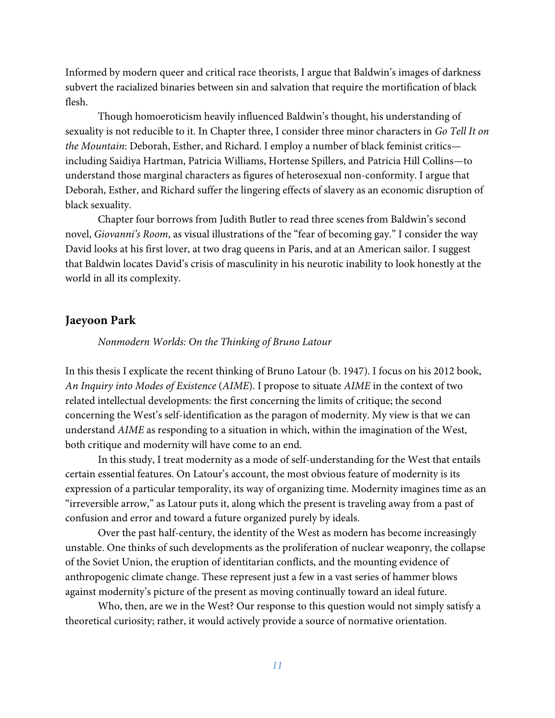Informed by modern queer and critical race theorists, I argue that Baldwin's images of darkness subvert the racialized binaries between sin and salvation that require the mortification of black flesh.

Though homoeroticism heavily influenced Baldwin's thought, his understanding of sexuality is not reducible to it. In Chapter three, I consider three minor characters in *Go Tell It on the Mountain*: Deborah, Esther, and Richard. I employ a number of black feminist critics including Saidiya Hartman, Patricia Williams, Hortense Spillers, and Patricia Hill Collins—to understand those marginal characters as figures of heterosexual non-conformity. I argue that Deborah, Esther, and Richard suffer the lingering effects of slavery as an economic disruption of black sexuality.

Chapter four borrows from Judith Butler to read three scenes from Baldwin's second novel, *Giovanni's Room*, as visual illustrations of the "fear of becoming gay." I consider the way David looks at his first lover, at two drag queens in Paris, and at an American sailor. I suggest that Baldwin locates David's crisis of masculinity in his neurotic inability to look honestly at the world in all its complexity.

## **Jaeyoon Park**

#### *Nonmodern Worlds: On the Thinking of Bruno Latour*

In this thesis I explicate the recent thinking of Bruno Latour (b. 1947). I focus on his 2012 book, *An Inquiry into Modes of Existence* (*AIME*). I propose to situate *AIME* in the context of two related intellectual developments: the first concerning the limits of critique; the second concerning the West's self-identification as the paragon of modernity. My view is that we can understand *AIME* as responding to a situation in which, within the imagination of the West, both critique and modernity will have come to an end.

In this study, I treat modernity as a mode of self-understanding for the West that entails certain essential features. On Latour's account, the most obvious feature of modernity is its expression of a particular temporality, its way of organizing time. Modernity imagines time as an "irreversible arrow," as Latour puts it, along which the present is traveling away from a past of confusion and error and toward a future organized purely by ideals.

Over the past half-century, the identity of the West as modern has become increasingly unstable. One thinks of such developments as the proliferation of nuclear weaponry, the collapse of the Soviet Union, the eruption of identitarian conflicts, and the mounting evidence of anthropogenic climate change. These represent just a few in a vast series of hammer blows against modernity's picture of the present as moving continually toward an ideal future.

Who, then, are we in the West? Our response to this question would not simply satisfy a theoretical curiosity; rather, it would actively provide a source of normative orientation.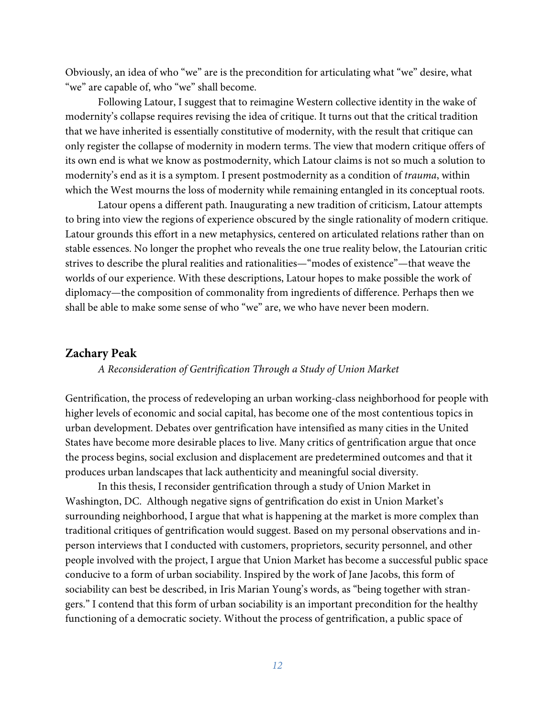Obviously, an idea of who "we" are is the precondition for articulating what "we" desire, what "we" are capable of, who "we" shall become.

Following Latour, I suggest that to reimagine Western collective identity in the wake of modernity's collapse requires revising the idea of critique. It turns out that the critical tradition that we have inherited is essentially constitutive of modernity, with the result that critique can only register the collapse of modernity in modern terms. The view that modern critique offers of its own end is what we know as postmodernity, which Latour claims is not so much a solution to modernity's end as it is a symptom. I present postmodernity as a condition of *trauma*, within which the West mourns the loss of modernity while remaining entangled in its conceptual roots.

Latour opens a different path. Inaugurating a new tradition of criticism, Latour attempts to bring into view the regions of experience obscured by the single rationality of modern critique. Latour grounds this effort in a new metaphysics, centered on articulated relations rather than on stable essences. No longer the prophet who reveals the one true reality below, the Latourian critic strives to describe the plural realities and rationalities—"modes of existence"—that weave the worlds of our experience. With these descriptions, Latour hopes to make possible the work of diplomacy—the composition of commonality from ingredients of difference. Perhaps then we shall be able to make some sense of who "we" are, we who have never been modern.

#### **Zachary Peak**

#### *A Reconsideration of Gentrification Through a Study of Union Market*

Gentrification, the process of redeveloping an urban working-class neighborhood for people with higher levels of economic and social capital, has become one of the most contentious topics in urban development. Debates over gentrification have intensified as many cities in the United States have become more desirable places to live. Many critics of gentrification argue that once the process begins, social exclusion and displacement are predetermined outcomes and that it produces urban landscapes that lack authenticity and meaningful social diversity.

In this thesis, I reconsider gentrification through a study of Union Market in Washington, DC. Although negative signs of gentrification do exist in Union Market's surrounding neighborhood, I argue that what is happening at the market is more complex than traditional critiques of gentrification would suggest. Based on my personal observations and inperson interviews that I conducted with customers, proprietors, security personnel, and other people involved with the project, I argue that Union Market has become a successful public space conducive to a form of urban sociability. Inspired by the work of Jane Jacobs, this form of sociability can best be described, in Iris Marian Young's words, as "being together with strangers." I contend that this form of urban sociability is an important precondition for the healthy functioning of a democratic society. Without the process of gentrification, a public space of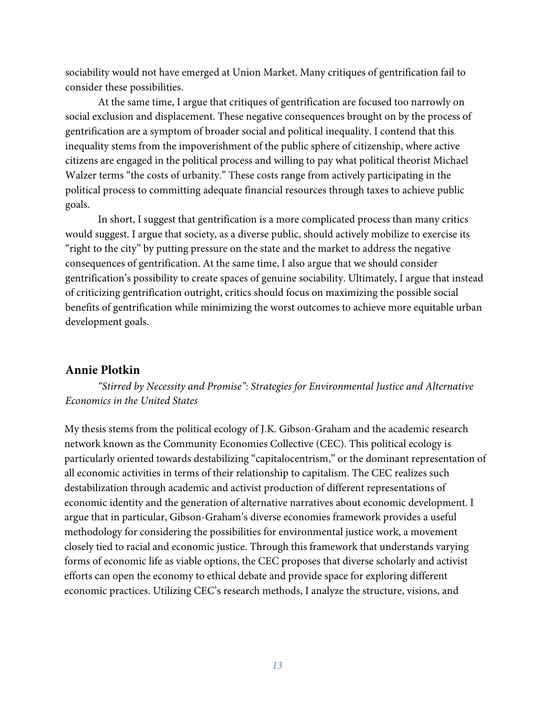sociability would not have emerged at Union Market. Many critiques of gentrification fail to consider these possibilities.

At the same time, I argue that critiques of gentrification are focused too narrowly on social exclusion and displacement. These negative consequences brought on by the process of gentrification are a symptom of broader social and political inequality. I contend that this inequality stems from the impoverishment of the public sphere of citizenship, where active citizens are engaged in the political process and willing to pay what political theorist Michael Walzer terms "the costs of urbanity." These costs range from actively participating in the political process to committing adequate financial resources through taxes to achieve public goals.

In short, I suggest that gentrification is a more complicated process than many critics would suggest. I argue that society, as a diverse public, should actively mobilize to exercise its "right to the city" by putting pressure on the state and the market to address the negative consequences of gentrification. At the same time, I also argue that we should consider gentrification's possibility to create spaces of genuine sociability. Ultimately, I argue that instead of criticizing gentrification outright, critics should focus on maximizing the possible social benefits of gentrification while minimizing the worst outcomes to achieve more equitable urban development goals.

## **Annie Plotkin**

*"Stirred by Necessity and Promise": Strategies for Environmental Justice and Alternative Economics in the United States* 

My thesis stems from the political ecology of J.K. Gibson-Graham and the academic research network known as the Community Economies Collective (CEC). This political ecology is particularly oriented towards destabilizing "capitalocentrism," or the dominant representation of all economic activities in terms of their relationship to capitalism. The CEC realizes such destabilization through academic and activist production of different representations of economic identity and the generation of alternative narratives about economic development. I argue that in particular, Gibson-Graham's diverse economies framework provides a useful methodology for considering the possibilities for environmental justice work, a movement closely tied to racial and economic justice. Through this framework that understands varying forms of economic life as viable options, the CEC proposes that diverse scholarly and activist efforts can open the economy to ethical debate and provide space for exploring different economic practices. Utilizing CEC's research methods, I analyze the structure, visions, and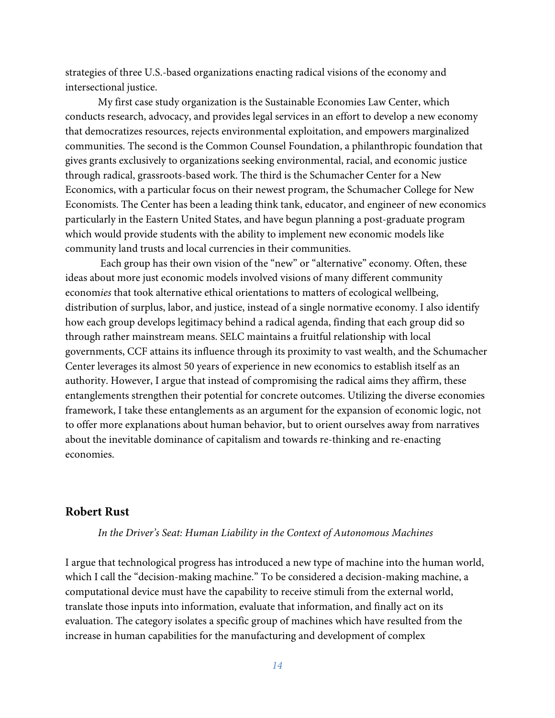strategies of three U.S.-based organizations enacting radical visions of the economy and intersectional justice.

My first case study organization is the Sustainable Economies Law Center, which conducts research, advocacy, and provides legal services in an effort to develop a new economy that democratizes resources, rejects environmental exploitation, and empowers marginalized communities. The second is the Common Counsel Foundation, a philanthropic foundation that gives grants exclusively to organizations seeking environmental, racial, and economic justice through radical, grassroots-based work. The third is the Schumacher Center for a New Economics, with a particular focus on their newest program, the Schumacher College for New Economists. The Center has been a leading think tank, educator, and engineer of new economics particularly in the Eastern United States, and have begun planning a post-graduate program which would provide students with the ability to implement new economic models like community land trusts and local currencies in their communities.

 Each group has their own vision of the "new" or "alternative" economy. Often, these ideas about more just economic models involved visions of many different community econom*ies* that took alternative ethical orientations to matters of ecological wellbeing, distribution of surplus, labor, and justice, instead of a single normative economy. I also identify how each group develops legitimacy behind a radical agenda, finding that each group did so through rather mainstream means. SELC maintains a fruitful relationship with local governments, CCF attains its influence through its proximity to vast wealth, and the Schumacher Center leverages its almost 50 years of experience in new economics to establish itself as an authority. However, I argue that instead of compromising the radical aims they affirm, these entanglements strengthen their potential for concrete outcomes. Utilizing the diverse economies framework, I take these entanglements as an argument for the expansion of economic logic, not to offer more explanations about human behavior, but to orient ourselves away from narratives about the inevitable dominance of capitalism and towards re-thinking and re-enacting economies.

## **Robert Rust**

#### *In the Driver's Seat: Human Liability in the Context of Autonomous Machines*

I argue that technological progress has introduced a new type of machine into the human world, which I call the "decision-making machine." To be considered a decision-making machine, a computational device must have the capability to receive stimuli from the external world, translate those inputs into information, evaluate that information, and finally act on its evaluation. The category isolates a specific group of machines which have resulted from the increase in human capabilities for the manufacturing and development of complex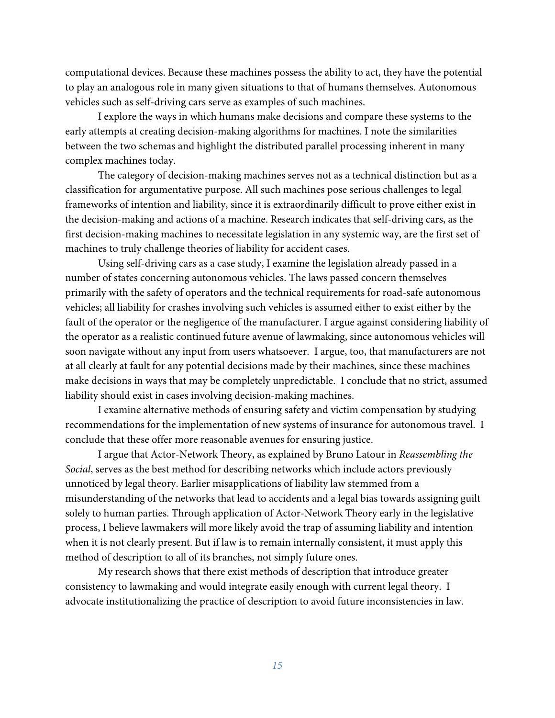computational devices. Because these machines possess the ability to act, they have the potential to play an analogous role in many given situations to that of humans themselves. Autonomous vehicles such as self-driving cars serve as examples of such machines.

I explore the ways in which humans make decisions and compare these systems to the early attempts at creating decision-making algorithms for machines. I note the similarities between the two schemas and highlight the distributed parallel processing inherent in many complex machines today.

The category of decision-making machines serves not as a technical distinction but as a classification for argumentative purpose. All such machines pose serious challenges to legal frameworks of intention and liability, since it is extraordinarily difficult to prove either exist in the decision-making and actions of a machine. Research indicates that self-driving cars, as the first decision-making machines to necessitate legislation in any systemic way, are the first set of machines to truly challenge theories of liability for accident cases.

Using self-driving cars as a case study, I examine the legislation already passed in a number of states concerning autonomous vehicles. The laws passed concern themselves primarily with the safety of operators and the technical requirements for road-safe autonomous vehicles; all liability for crashes involving such vehicles is assumed either to exist either by the fault of the operator or the negligence of the manufacturer. I argue against considering liability of the operator as a realistic continued future avenue of lawmaking, since autonomous vehicles will soon navigate without any input from users whatsoever. I argue, too, that manufacturers are not at all clearly at fault for any potential decisions made by their machines, since these machines make decisions in ways that may be completely unpredictable. I conclude that no strict, assumed liability should exist in cases involving decision-making machines.

I examine alternative methods of ensuring safety and victim compensation by studying recommendations for the implementation of new systems of insurance for autonomous travel. I conclude that these offer more reasonable avenues for ensuring justice.

I argue that Actor-Network Theory, as explained by Bruno Latour in *Reassembling the Social*, serves as the best method for describing networks which include actors previously unnoticed by legal theory. Earlier misapplications of liability law stemmed from a misunderstanding of the networks that lead to accidents and a legal bias towards assigning guilt solely to human parties. Through application of Actor-Network Theory early in the legislative process, I believe lawmakers will more likely avoid the trap of assuming liability and intention when it is not clearly present. But if law is to remain internally consistent, it must apply this method of description to all of its branches, not simply future ones.

My research shows that there exist methods of description that introduce greater consistency to lawmaking and would integrate easily enough with current legal theory. I advocate institutionalizing the practice of description to avoid future inconsistencies in law.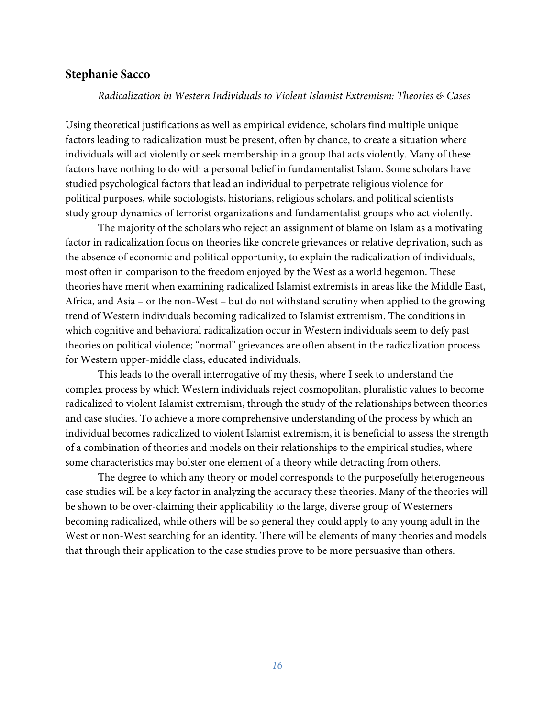## **Stephanie Sacco**

#### *Radicalization in Western Individuals to Violent Islamist Extremism: Theories & Cases*

Using theoretical justifications as well as empirical evidence, scholars find multiple unique factors leading to radicalization must be present, often by chance, to create a situation where individuals will act violently or seek membership in a group that acts violently. Many of these factors have nothing to do with a personal belief in fundamentalist Islam. Some scholars have studied psychological factors that lead an individual to perpetrate religious violence for political purposes, while sociologists, historians, religious scholars, and political scientists study group dynamics of terrorist organizations and fundamentalist groups who act violently.

The majority of the scholars who reject an assignment of blame on Islam as a motivating factor in radicalization focus on theories like concrete grievances or relative deprivation, such as the absence of economic and political opportunity, to explain the radicalization of individuals, most often in comparison to the freedom enjoyed by the West as a world hegemon. These theories have merit when examining radicalized Islamist extremists in areas like the Middle East, Africa, and Asia – or the non-West – but do not withstand scrutiny when applied to the growing trend of Western individuals becoming radicalized to Islamist extremism. The conditions in which cognitive and behavioral radicalization occur in Western individuals seem to defy past theories on political violence; "normal" grievances are often absent in the radicalization process for Western upper-middle class, educated individuals.

This leads to the overall interrogative of my thesis, where I seek to understand the complex process by which Western individuals reject cosmopolitan, pluralistic values to become radicalized to violent Islamist extremism, through the study of the relationships between theories and case studies. To achieve a more comprehensive understanding of the process by which an individual becomes radicalized to violent Islamist extremism, it is beneficial to assess the strength of a combination of theories and models on their relationships to the empirical studies, where some characteristics may bolster one element of a theory while detracting from others.

The degree to which any theory or model corresponds to the purposefully heterogeneous case studies will be a key factor in analyzing the accuracy these theories. Many of the theories will be shown to be over-claiming their applicability to the large, diverse group of Westerners becoming radicalized, while others will be so general they could apply to any young adult in the West or non-West searching for an identity. There will be elements of many theories and models that through their application to the case studies prove to be more persuasive than others.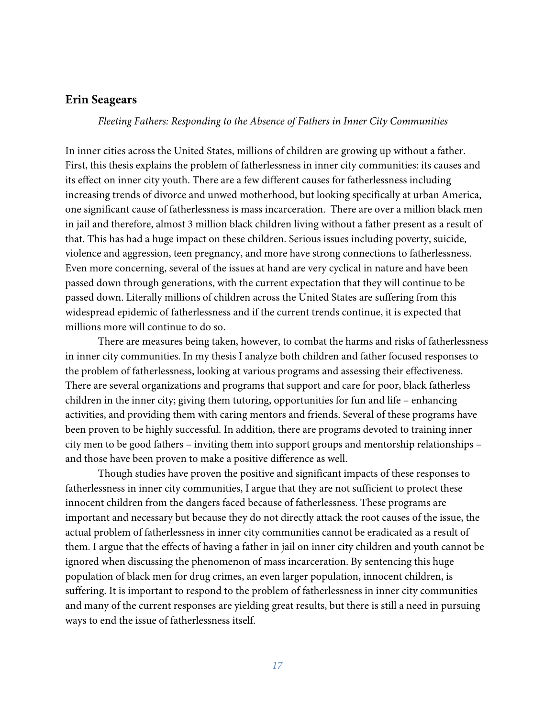#### **Erin Seagears**

*Fleeting Fathers: Responding to the Absence of Fathers in Inner City Communities* 

In inner cities across the United States, millions of children are growing up without a father. First, this thesis explains the problem of fatherlessness in inner city communities: its causes and its effect on inner city youth. There are a few different causes for fatherlessness including increasing trends of divorce and unwed motherhood, but looking specifically at urban America, one significant cause of fatherlessness is mass incarceration. There are over a million black men in jail and therefore, almost 3 million black children living without a father present as a result of that. This has had a huge impact on these children. Serious issues including poverty, suicide, violence and aggression, teen pregnancy, and more have strong connections to fatherlessness. Even more concerning, several of the issues at hand are very cyclical in nature and have been passed down through generations, with the current expectation that they will continue to be passed down. Literally millions of children across the United States are suffering from this widespread epidemic of fatherlessness and if the current trends continue, it is expected that millions more will continue to do so.

There are measures being taken, however, to combat the harms and risks of fatherlessness in inner city communities. In my thesis I analyze both children and father focused responses to the problem of fatherlessness, looking at various programs and assessing their effectiveness. There are several organizations and programs that support and care for poor, black fatherless children in the inner city; giving them tutoring, opportunities for fun and life – enhancing activities, and providing them with caring mentors and friends. Several of these programs have been proven to be highly successful. In addition, there are programs devoted to training inner city men to be good fathers – inviting them into support groups and mentorship relationships – and those have been proven to make a positive difference as well.

Though studies have proven the positive and significant impacts of these responses to fatherlessness in inner city communities, I argue that they are not sufficient to protect these innocent children from the dangers faced because of fatherlessness. These programs are important and necessary but because they do not directly attack the root causes of the issue, the actual problem of fatherlessness in inner city communities cannot be eradicated as a result of them. I argue that the effects of having a father in jail on inner city children and youth cannot be ignored when discussing the phenomenon of mass incarceration. By sentencing this huge population of black men for drug crimes, an even larger population, innocent children, is suffering. It is important to respond to the problem of fatherlessness in inner city communities and many of the current responses are yielding great results, but there is still a need in pursuing ways to end the issue of fatherlessness itself.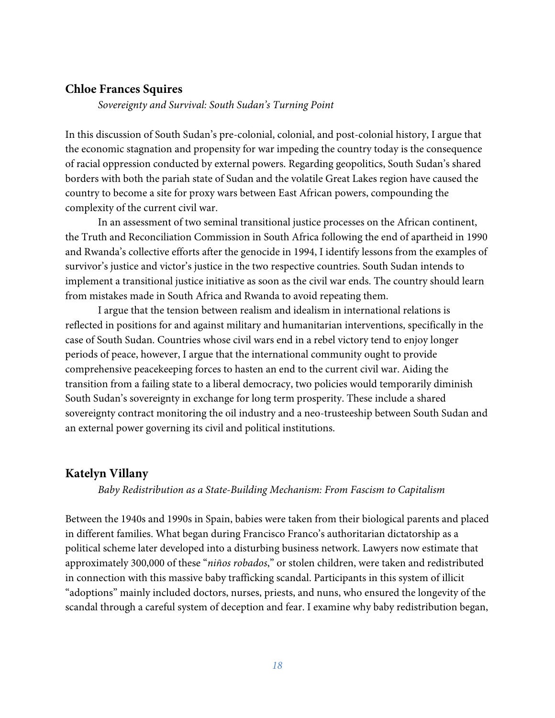## **Chloe Frances Squires**

*Sovereignty and Survival: South Sudan's Turning Point* 

In this discussion of South Sudan's pre-colonial, colonial, and post-colonial history, I argue that the economic stagnation and propensity for war impeding the country today is the consequence of racial oppression conducted by external powers. Regarding geopolitics, South Sudan's shared borders with both the pariah state of Sudan and the volatile Great Lakes region have caused the country to become a site for proxy wars between East African powers, compounding the complexity of the current civil war.

In an assessment of two seminal transitional justice processes on the African continent, the Truth and Reconciliation Commission in South Africa following the end of apartheid in 1990 and Rwanda's collective efforts after the genocide in 1994, I identify lessons from the examples of survivor's justice and victor's justice in the two respective countries. South Sudan intends to implement a transitional justice initiative as soon as the civil war ends. The country should learn from mistakes made in South Africa and Rwanda to avoid repeating them.

I argue that the tension between realism and idealism in international relations is reflected in positions for and against military and humanitarian interventions, specifically in the case of South Sudan. Countries whose civil wars end in a rebel victory tend to enjoy longer periods of peace, however, I argue that the international community ought to provide comprehensive peacekeeping forces to hasten an end to the current civil war. Aiding the transition from a failing state to a liberal democracy, two policies would temporarily diminish South Sudan's sovereignty in exchange for long term prosperity. These include a shared sovereignty contract monitoring the oil industry and a neo-trusteeship between South Sudan and an external power governing its civil and political institutions.

#### **Katelyn Villany**

#### *Baby Redistribution as a State-Building Mechanism: From Fascism to Capitalism*

Between the 1940s and 1990s in Spain, babies were taken from their biological parents and placed in different families. What began during Francisco Franco's authoritarian dictatorship as a political scheme later developed into a disturbing business network. Lawyers now estimate that approximately 300,000 of these "*niños robados*," or stolen children, were taken and redistributed in connection with this massive baby trafficking scandal. Participants in this system of illicit "adoptions" mainly included doctors, nurses, priests, and nuns, who ensured the longevity of the scandal through a careful system of deception and fear. I examine why baby redistribution began,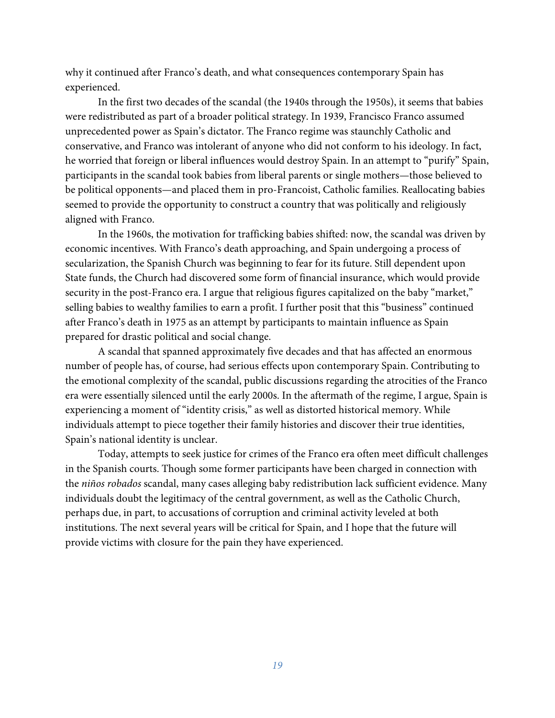why it continued after Franco's death, and what consequences contemporary Spain has experienced.

In the first two decades of the scandal (the 1940s through the 1950s), it seems that babies were redistributed as part of a broader political strategy. In 1939, Francisco Franco assumed unprecedented power as Spain's dictator. The Franco regime was staunchly Catholic and conservative, and Franco was intolerant of anyone who did not conform to his ideology. In fact, he worried that foreign or liberal influences would destroy Spain. In an attempt to "purify" Spain, participants in the scandal took babies from liberal parents or single mothers—those believed to be political opponents—and placed them in pro-Francoist, Catholic families. Reallocating babies seemed to provide the opportunity to construct a country that was politically and religiously aligned with Franco.

In the 1960s, the motivation for trafficking babies shifted: now, the scandal was driven by economic incentives. With Franco's death approaching, and Spain undergoing a process of secularization, the Spanish Church was beginning to fear for its future. Still dependent upon State funds, the Church had discovered some form of financial insurance, which would provide security in the post-Franco era. I argue that religious figures capitalized on the baby "market," selling babies to wealthy families to earn a profit. I further posit that this "business" continued after Franco's death in 1975 as an attempt by participants to maintain influence as Spain prepared for drastic political and social change.

A scandal that spanned approximately five decades and that has affected an enormous number of people has, of course, had serious effects upon contemporary Spain. Contributing to the emotional complexity of the scandal, public discussions regarding the atrocities of the Franco era were essentially silenced until the early 2000s. In the aftermath of the regime, I argue, Spain is experiencing a moment of "identity crisis," as well as distorted historical memory. While individuals attempt to piece together their family histories and discover their true identities, Spain's national identity is unclear.

Today, attempts to seek justice for crimes of the Franco era often meet difficult challenges in the Spanish courts. Though some former participants have been charged in connection with the *niños robados* scandal, many cases alleging baby redistribution lack sufficient evidence. Many individuals doubt the legitimacy of the central government, as well as the Catholic Church, perhaps due, in part, to accusations of corruption and criminal activity leveled at both institutions. The next several years will be critical for Spain, and I hope that the future will provide victims with closure for the pain they have experienced.